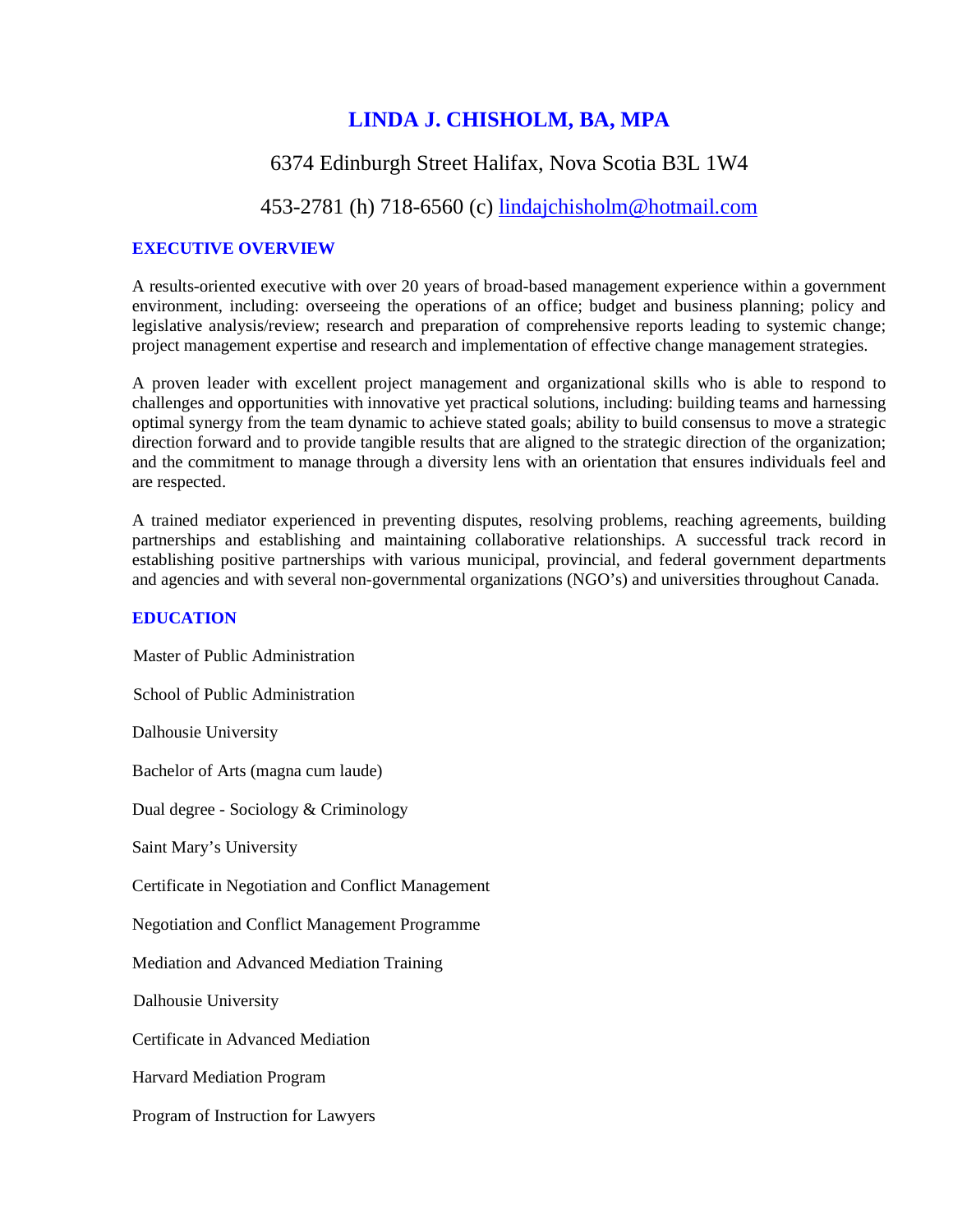# **LINDA J. CHISHOLM, BA, MPA**

# 6374 Edinburgh Street Halifax, Nova Scotia B3L 1W4

# 453-2781 (h) 718-6560 (c) <u>lindajchisholm@hotmail.com</u>

# **EXECUTIVE OVERVIEW**

A results-oriented executive with over 20 years of broad-based management experience within a government environment, including: overseeing the operations of an office; budget and business planning; policy and legislative analysis/review; research and preparation of comprehensive reports leading to systemic change; project management expertise and research and implementation of effective change management strategies.

A proven leader with excellent project management and organizational skills who is able to respond to challenges and opportunities with innovative yet practical solutions, including: building teams and harnessing optimal synergy from the team dynamic to achieve stated goals; ability to build consensus to move a strategic direction forward and to provide tangible results that are aligned to the strategic direction of the organization; and the commitment to manage through a diversity lens with an orientation that ensures individuals feel and are respected.

A trained mediator experienced in preventing disputes, resolving problems, reaching agreements, building partnerships and establishing and maintaining collaborative relationships. A successful track record in establishing positive partnerships with various municipal, provincial, and federal government departments and agencies and with several non-governmental organizations (NGO's) and universities throughout Canada.

#### **EDUCATION**

Master of Public Administration

School of Public Administration

Dalhousie University

Bachelor of Arts (magna cum laude)

Dual degree - Sociology & Criminology

Saint Mary's University

Certificate in Negotiation and Conflict Management

Negotiation and Conflict Management Programme

Mediation and Advanced Mediation Training

Dalhousie University

Certificate in Advanced Mediation

Harvard Mediation Program

Program of Instruction for Lawyers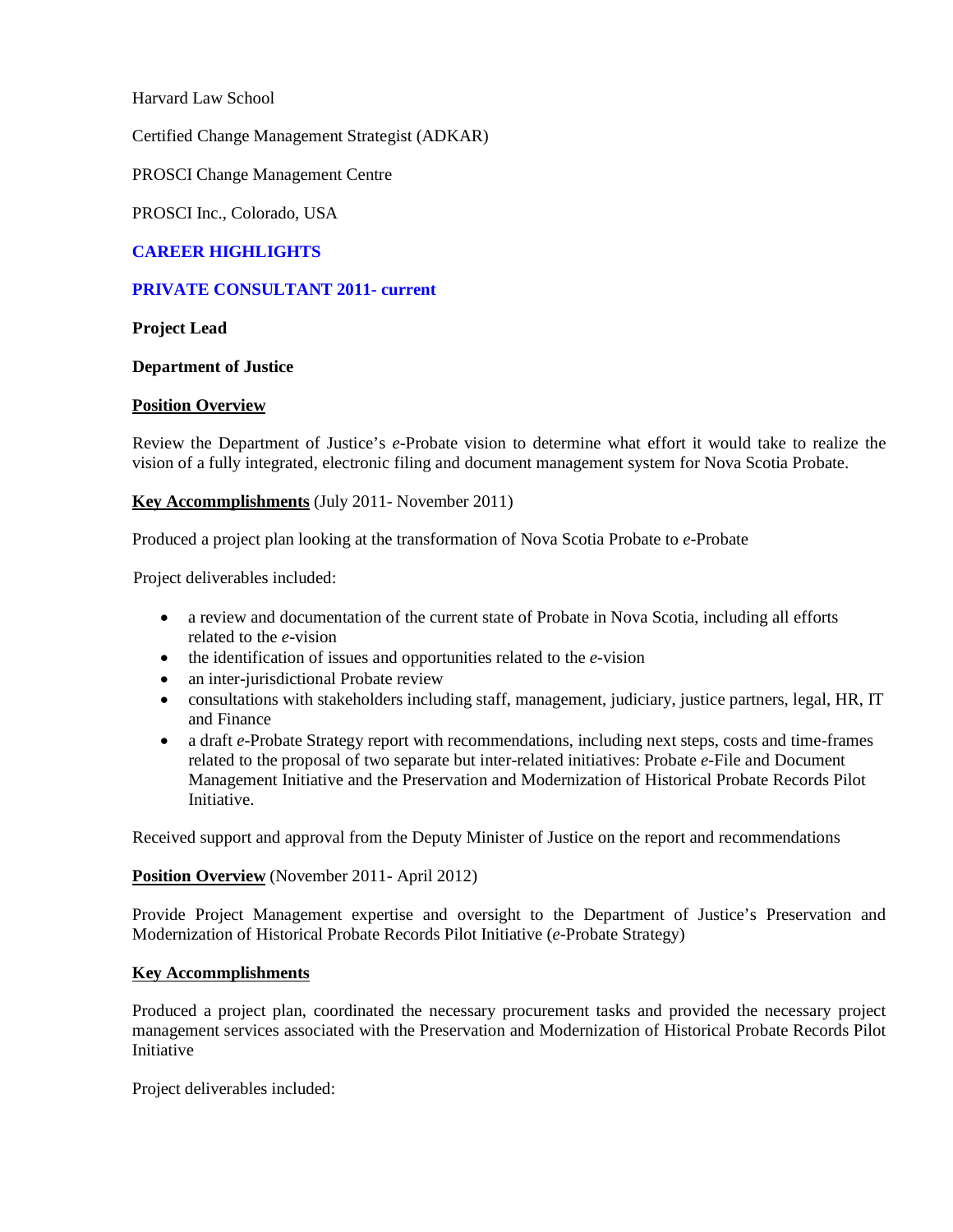Harvard Law School

Certified Change Management Strategist (ADKAR)

PROSCI Change Management Centre

PROSCI Inc., Colorado, USA

# **CAREER HIGHLIGHTS**

#### **PRIVATE CONSULTANT 2011- current**

### **Project Lead**

#### **Department of Justice**

#### **Position Overview**

Review the Department of Justice's *e*-Probate vision to determine what effort it would take to realize the vision of a fully integrated, electronic filing and document management system for Nova Scotia Probate.

# **Key Accommplishments** (July 2011- November 2011)

Produced a project plan looking at the transformation of Nova Scotia Probate to *e*-Probate

Project deliverables included:

- a review and documentation of the current state of Probate in Nova Scotia, including all efforts related to the *e*-vision
- the identification of issues and opportunities related to the *e*-vision
- an inter-jurisdictional Probate review
- consultations with stakeholders including staff, management, judiciary, justice partners, legal, HR, IT and Finance
- a draft *e*-Probate Strategy report with recommendations, including next steps, costs and time-frames related to the proposal of two separate but inter-related initiatives: Probate *e*-File and Document Management Initiative and the Preservation and Modernization of Historical Probate Records Pilot Initiative.

Received support and approval from the Deputy Minister of Justice on the report and recommendations

### **Position Overview** (November 2011- April 2012)

Provide Project Management expertise and oversight to the Department of Justice's Preservation and Modernization of Historical Probate Records Pilot Initiative (*e*-Probate Strategy)

#### **Key Accommplishments**

Produced a project plan, coordinated the necessary procurement tasks and provided the necessary project management services associated with the Preservation and Modernization of Historical Probate Records Pilot Initiative

Project deliverables included: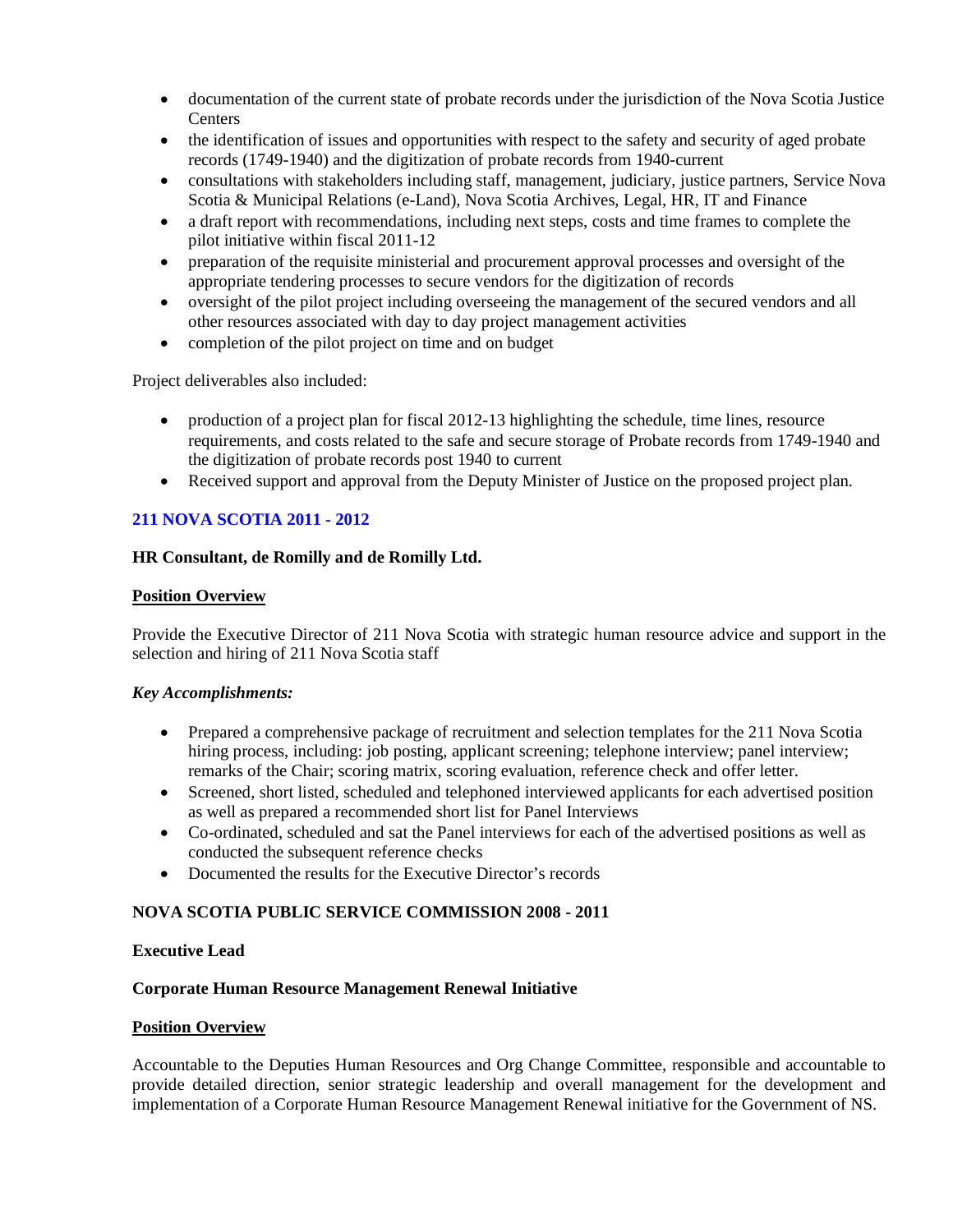- documentation of the current state of probate records under the jurisdiction of the Nova Scotia Justice **Centers**
- the identification of issues and opportunities with respect to the safety and security of aged probate records (1749-1940) and the digitization of probate records from 1940-current
- consultations with stakeholders including staff, management, judiciary, justice partners, Service Nova Scotia & Municipal Relations (e-Land), Nova Scotia Archives, Legal, HR, IT and Finance
- a draft report with recommendations, including next steps, costs and time frames to complete the pilot initiative within fiscal 2011-12
- preparation of the requisite ministerial and procurement approval processes and oversight of the appropriate tendering processes to secure vendors for the digitization of records
- oversight of the pilot project including overseeing the management of the secured vendors and all other resources associated with day to day project management activities
- completion of the pilot project on time and on budget

Project deliverables also included:

- production of a project plan for fiscal 2012-13 highlighting the schedule, time lines, resource requirements, and costs related to the safe and secure storage of Probate records from 1749-1940 and the digitization of probate records post 1940 to current
- Received support and approval from the Deputy Minister of Justice on the proposed project plan.

# **211 NOVA SCOTIA 2011 - 2012**

# **HR Consultant, de Romilly and de Romilly Ltd.**

# **Position Overview**

Provide the Executive Director of 211 Nova Scotia with strategic human resource advice and support in the selection and hiring of 211 Nova Scotia staff

# *Key Accomplishments:*

- Prepared a comprehensive package of recruitment and selection templates for the 211 Nova Scotia hiring process, including: job posting, applicant screening; telephone interview; panel interview; remarks of the Chair; scoring matrix, scoring evaluation, reference check and offer letter.
- Screened, short listed, scheduled and telephoned interviewed applicants for each advertised position as well as prepared a recommended short list for Panel Interviews
- Co-ordinated, scheduled and sat the Panel interviews for each of the advertised positions as well as conducted the subsequent reference checks
- Documented the results for the Executive Director's records

# **NOVA SCOTIA PUBLIC SERVICE COMMISSION 2008 - 2011**

# **Executive Lead**

# **Corporate Human Resource Management Renewal Initiative**

# **Position Overview**

Accountable to the Deputies Human Resources and Org Change Committee, responsible and accountable to provide detailed direction, senior strategic leadership and overall management for the development and implementation of a Corporate Human Resource Management Renewal initiative for the Government of NS.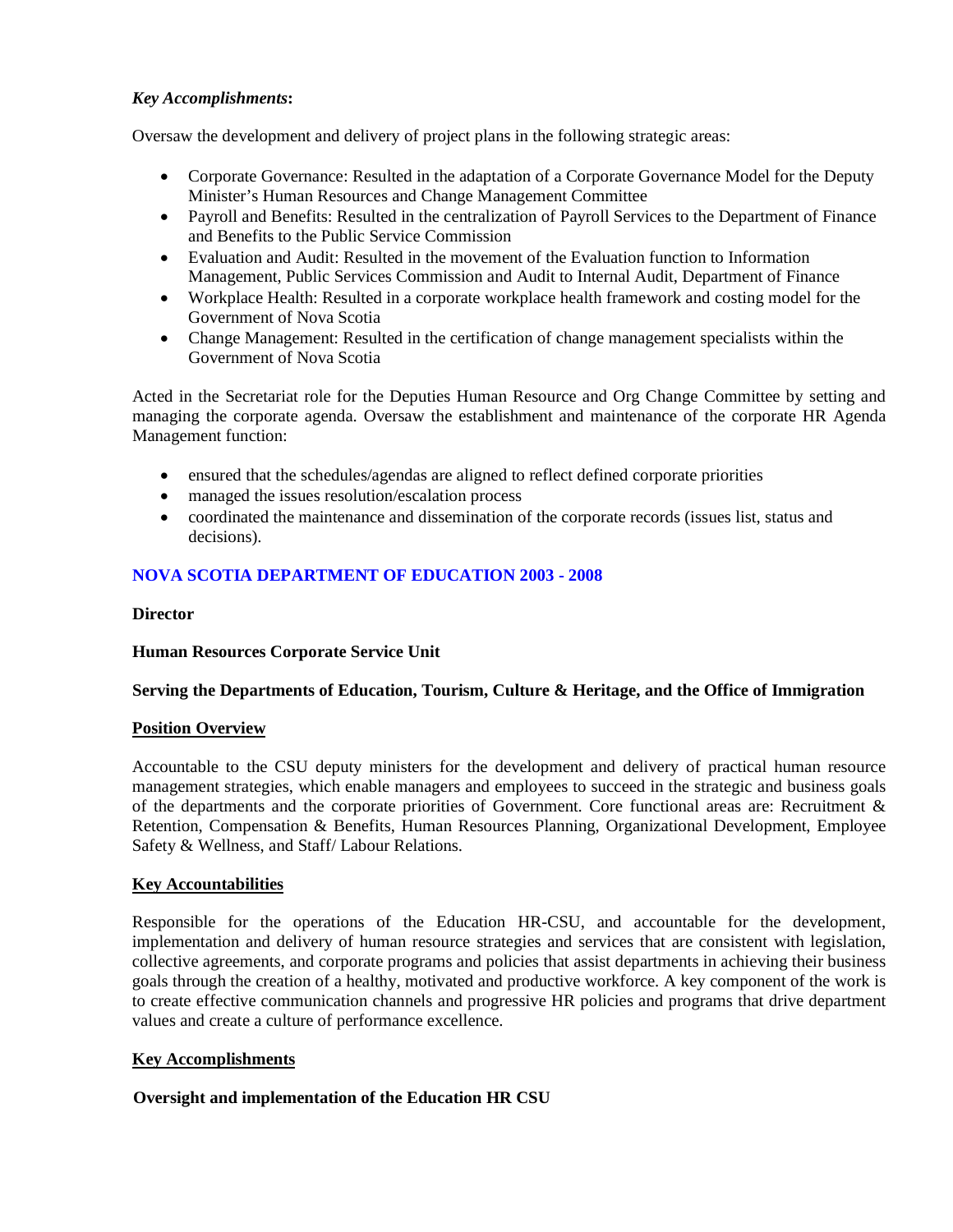# *Key Accomplishments***:**

Oversaw the development and delivery of project plans in the following strategic areas:

- Corporate Governance: Resulted in the adaptation of a Corporate Governance Model for the Deputy Minister's Human Resources and Change Management Committee
- Payroll and Benefits: Resulted in the centralization of Payroll Services to the Department of Finance and Benefits to the Public Service Commission
- Evaluation and Audit: Resulted in the movement of the Evaluation function to Information Management, Public Services Commission and Audit to Internal Audit, Department of Finance
- Workplace Health: Resulted in a corporate workplace health framework and costing model for the Government of Nova Scotia
- Change Management: Resulted in the certification of change management specialists within the Government of Nova Scotia

Acted in the Secretariat role for the Deputies Human Resource and Org Change Committee by setting and managing the corporate agenda. Oversaw the establishment and maintenance of the corporate HR Agenda Management function:

- ensured that the schedules/agendas are aligned to reflect defined corporate priorities
- managed the issues resolution/escalation process
- coordinated the maintenance and dissemination of the corporate records (issues list, status and decisions).

# **NOVA SCOTIA DEPARTMENT OF EDUCATION 2003 - 2008**

### **Director**

# **Human Resources Corporate Service Unit**

# **Serving the Departments of Education, Tourism, Culture & Heritage, and the Office of Immigration**

# **Position Overview**

Accountable to the CSU deputy ministers for the development and delivery of practical human resource management strategies, which enable managers and employees to succeed in the strategic and business goals of the departments and the corporate priorities of Government. Core functional areas are: Recruitment & Retention, Compensation & Benefits, Human Resources Planning, Organizational Development, Employee Safety & Wellness, and Staff/ Labour Relations.

# **Key Accountabilities**

Responsible for the operations of the Education HR-CSU, and accountable for the development, implementation and delivery of human resource strategies and services that are consistent with legislation, collective agreements, and corporate programs and policies that assist departments in achieving their business goals through the creation of a healthy, motivated and productive workforce. A key component of the work is to create effective communication channels and progressive HR policies and programs that drive department values and create a culture of performance excellence.

# **Key Accomplishments**

# **Oversight and implementation of the Education HR CSU**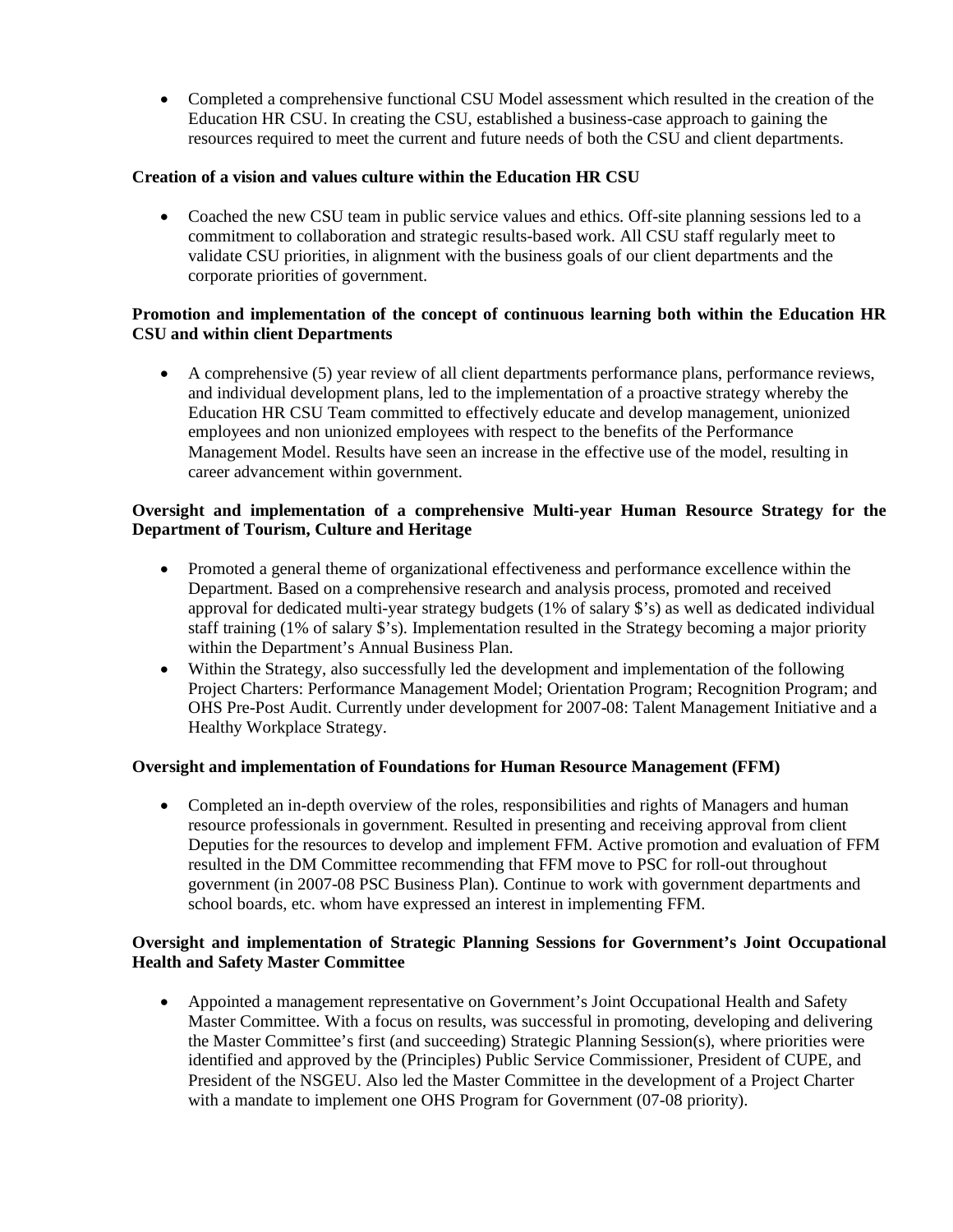• Completed a comprehensive functional CSU Model assessment which resulted in the creation of the Education HR CSU. In creating the CSU, established a business-case approach to gaining the resources required to meet the current and future needs of both the CSU and client departments.

# **Creation of a vision and values culture within the Education HR CSU**

• Coached the new CSU team in public service values and ethics. Off-site planning sessions led to a commitment to collaboration and strategic results-based work. All CSU staff regularly meet to validate CSU priorities, in alignment with the business goals of our client departments and the corporate priorities of government.

# **Promotion and implementation of the concept of continuous learning both within the Education HR CSU and within client Departments**

• A comprehensive (5) year review of all client departments performance plans, performance reviews, and individual development plans, led to the implementation of a proactive strategy whereby the Education HR CSU Team committed to effectively educate and develop management, unionized employees and non unionized employees with respect to the benefits of the Performance Management Model. Results have seen an increase in the effective use of the model, resulting in career advancement within government.

# **Oversight and implementation of a comprehensive Multi-year Human Resource Strategy for the Department of Tourism, Culture and Heritage**

- Promoted a general theme of organizational effectiveness and performance excellence within the Department. Based on a comprehensive research and analysis process, promoted and received approval for dedicated multi-year strategy budgets (1% of salary \$'s) as well as dedicated individual staff training (1% of salary \$'s). Implementation resulted in the Strategy becoming a major priority within the Department's Annual Business Plan.
- Within the Strategy, also successfully led the development and implementation of the following Project Charters: Performance Management Model; Orientation Program; Recognition Program; and OHS Pre-Post Audit. Currently under development for 2007-08: Talent Management Initiative and a Healthy Workplace Strategy.

# **Oversight and implementation of Foundations for Human Resource Management (FFM)**

• Completed an in-depth overview of the roles, responsibilities and rights of Managers and human resource professionals in government. Resulted in presenting and receiving approval from client Deputies for the resources to develop and implement FFM. Active promotion and evaluation of FFM resulted in the DM Committee recommending that FFM move to PSC for roll-out throughout government (in 2007-08 PSC Business Plan). Continue to work with government departments and school boards, etc. whom have expressed an interest in implementing FFM.

# **Oversight and implementation of Strategic Planning Sessions for Government's Joint Occupational Health and Safety Master Committee**

• Appointed a management representative on Government's Joint Occupational Health and Safety Master Committee. With a focus on results, was successful in promoting, developing and delivering the Master Committee's first (and succeeding) Strategic Planning Session(s), where priorities were identified and approved by the (Principles) Public Service Commissioner, President of CUPE, and President of the NSGEU. Also led the Master Committee in the development of a Project Charter with a mandate to implement one OHS Program for Government (07-08 priority).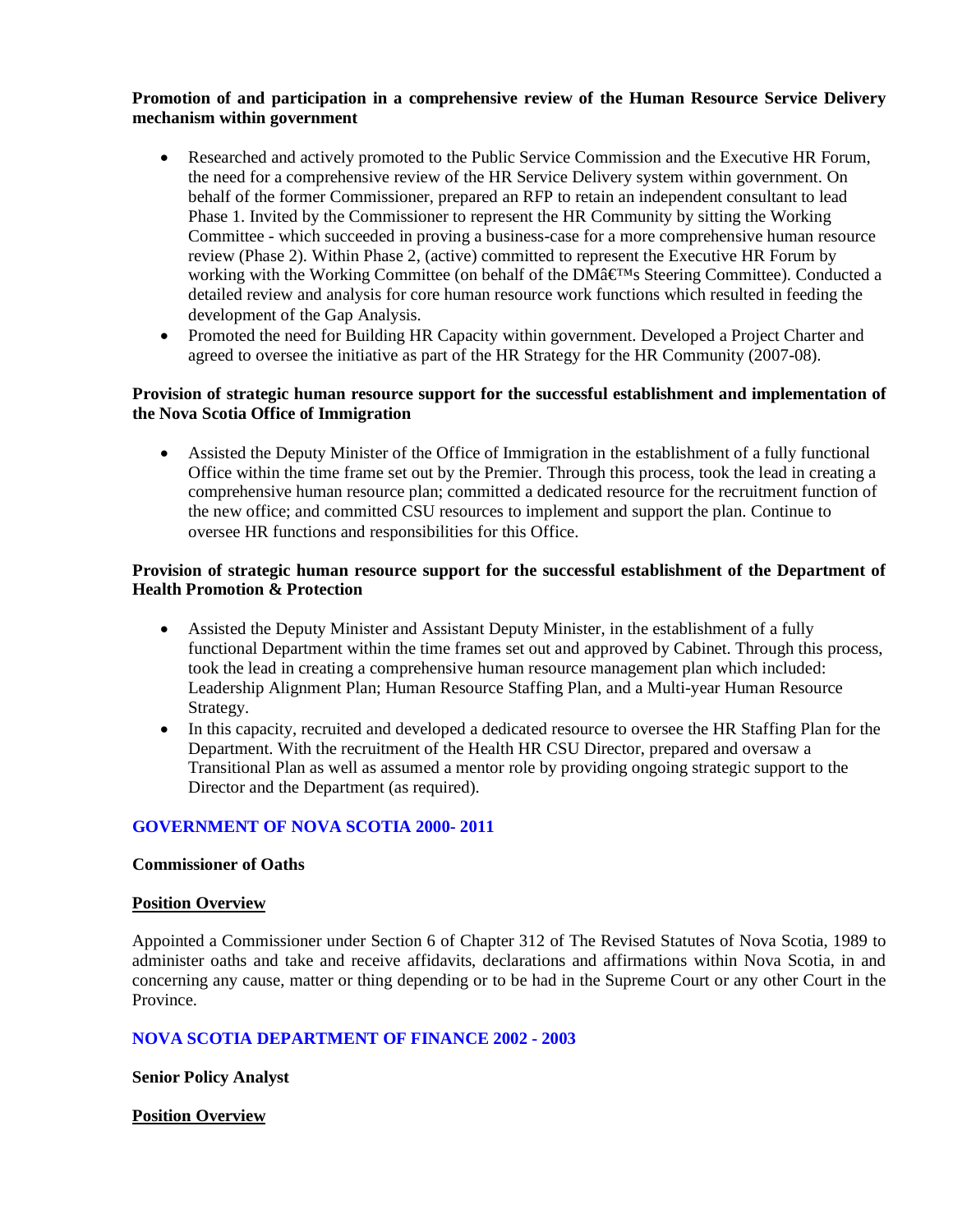# **Promotion of and participation in a comprehensive review of the Human Resource Service Delivery mechanism within government**

- Researched and actively promoted to the Public Service Commission and the Executive HR Forum, the need for a comprehensive review of the HR Service Delivery system within government. On behalf of the former Commissioner, prepared an RFP to retain an independent consultant to lead Phase 1. Invited by the Commissioner to represent the HR Community by sitting the Working Committee - which succeeded in proving a business-case for a more comprehensive human resource review (Phase 2). Within Phase 2, (active) committed to represent the Executive HR Forum by working with the Working Committee (on behalf of the DM $\hat{a} \in M_s$  Steering Committee). Conducted a detailed review and analysis for core human resource work functions which resulted in feeding the development of the Gap Analysis.
- Promoted the need for Building HR Capacity within government. Developed a Project Charter and agreed to oversee the initiative as part of the HR Strategy for the HR Community (2007-08).

# **Provision of strategic human resource support for the successful establishment and implementation of the Nova Scotia Office of Immigration**

• Assisted the Deputy Minister of the Office of Immigration in the establishment of a fully functional Office within the time frame set out by the Premier. Through this process, took the lead in creating a comprehensive human resource plan; committed a dedicated resource for the recruitment function of the new office; and committed CSU resources to implement and support the plan. Continue to oversee HR functions and responsibilities for this Office.

### **Provision of strategic human resource support for the successful establishment of the Department of Health Promotion & Protection**

- Assisted the Deputy Minister and Assistant Deputy Minister, in the establishment of a fully functional Department within the time frames set out and approved by Cabinet. Through this process, took the lead in creating a comprehensive human resource management plan which included: Leadership Alignment Plan; Human Resource Staffing Plan, and a Multi-year Human Resource Strategy.
- In this capacity, recruited and developed a dedicated resource to oversee the HR Staffing Plan for the Department. With the recruitment of the Health HR CSU Director, prepared and oversaw a Transitional Plan as well as assumed a mentor role by providing ongoing strategic support to the Director and the Department (as required).

# **GOVERNMENT OF NOVA SCOTIA 2000- 2011**

#### **Commissioner of Oaths**

#### **Position Overview**

Appointed a Commissioner under Section 6 of Chapter 312 of The Revised Statutes of Nova Scotia, 1989 to administer oaths and take and receive affidavits, declarations and affirmations within Nova Scotia, in and concerning any cause, matter or thing depending or to be had in the Supreme Court or any other Court in the Province.

# **NOVA SCOTIA DEPARTMENT OF FINANCE 2002 - 2003**

**Senior Policy Analyst**

#### **Position Overview**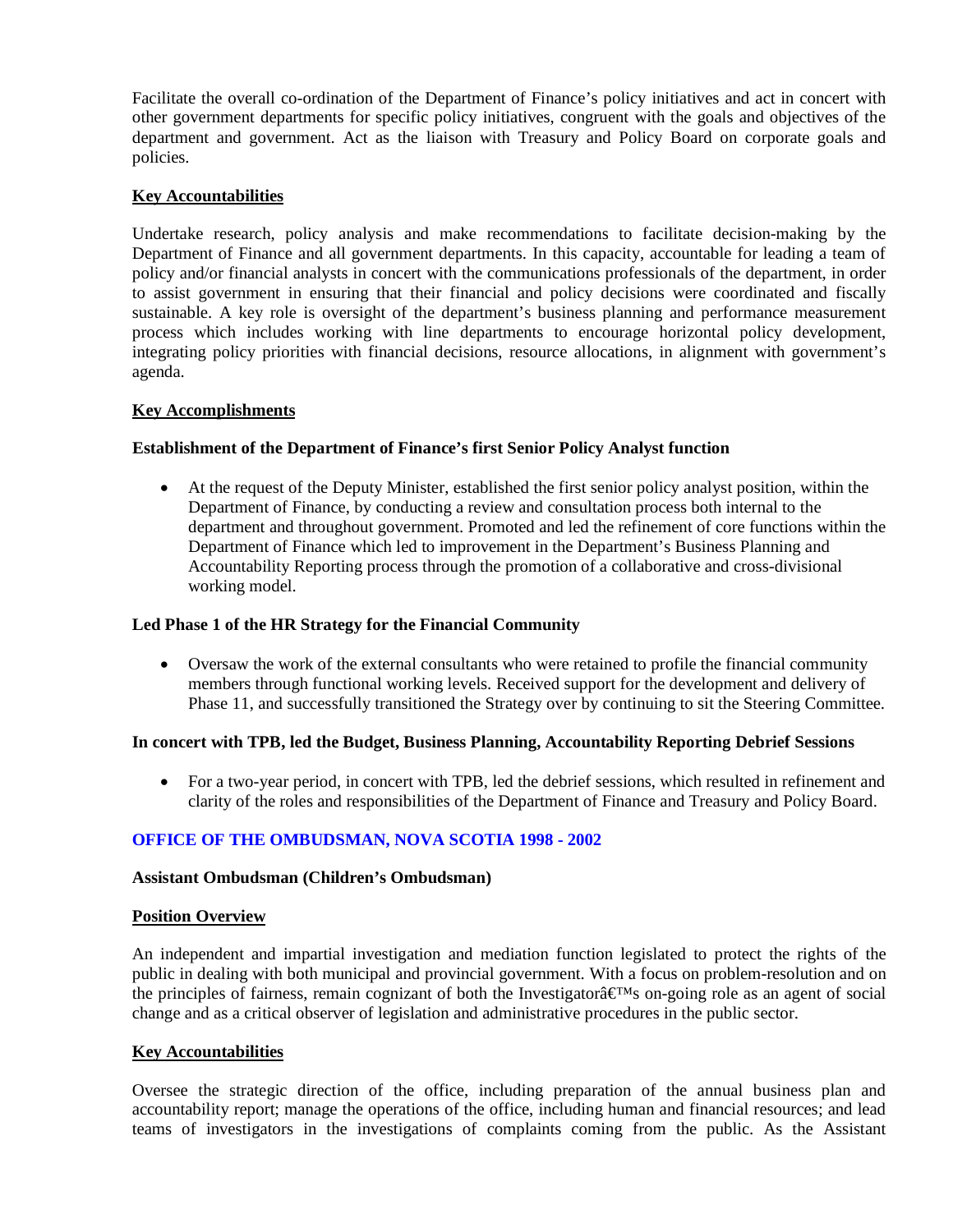Facilitate the overall co-ordination of the Department of Finance's policy initiatives and act in concert with other government departments for specific policy initiatives, congruent with the goals and objectives of the department and government. Act as the liaison with Treasury and Policy Board on corporate goals and policies.

# **Key Accountabilities**

Undertake research, policy analysis and make recommendations to facilitate decision-making by the Department of Finance and all government departments. In this capacity, accountable for leading a team of policy and/or financial analysts in concert with the communications professionals of the department, in order to assist government in ensuring that their financial and policy decisions were coordinated and fiscally sustainable. A key role is oversight of the department's business planning and performance measurement process which includes working with line departments to encourage horizontal policy development, integrating policy priorities with financial decisions, resource allocations, in alignment with government's agenda.

# **Key Accomplishments**

#### **Establishment of the Department of Finance's first Senior Policy Analyst function**

• At the request of the Deputy Minister, established the first senior policy analyst position, within the Department of Finance, by conducting a review and consultation process both internal to the department and throughout government. Promoted and led the refinement of core functions within the Department of Finance which led to improvement in the Department's Business Planning and Accountability Reporting process through the promotion of a collaborative and cross-divisional working model.

### **Led Phase 1 of the HR Strategy for the Financial Community**

• Oversaw the work of the external consultants who were retained to profile the financial community members through functional working levels. Received support for the development and delivery of Phase 11, and successfully transitioned the Strategy over by continuing to sit the Steering Committee.

#### **In concert with TPB, led the Budget, Business Planning, Accountability Reporting Debrief Sessions**

• For a two-year period, in concert with TPB, led the debrief sessions, which resulted in refinement and clarity of the roles and responsibilities of the Department of Finance and Treasury and Policy Board.

# **OFFICE OF THE OMBUDSMAN, NOVA SCOTIA 1998 - 2002**

#### **Assistant Ombudsman (Children's Ombudsman)**

#### **Position Overview**

An independent and impartial investigation and mediation function legislated to protect the rights of the public in dealing with both municipal and provincial government. With a focus on problem-resolution and on the principles of fairness, remain cognizant of both the Investigator $\hat{a} \in M_s$  on-going role as an agent of social change and as a critical observer of legislation and administrative procedures in the public sector.

# **Key Accountabilities**

Oversee the strategic direction of the office, including preparation of the annual business plan and accountability report; manage the operations of the office, including human and financial resources; and lead teams of investigators in the investigations of complaints coming from the public. As the Assistant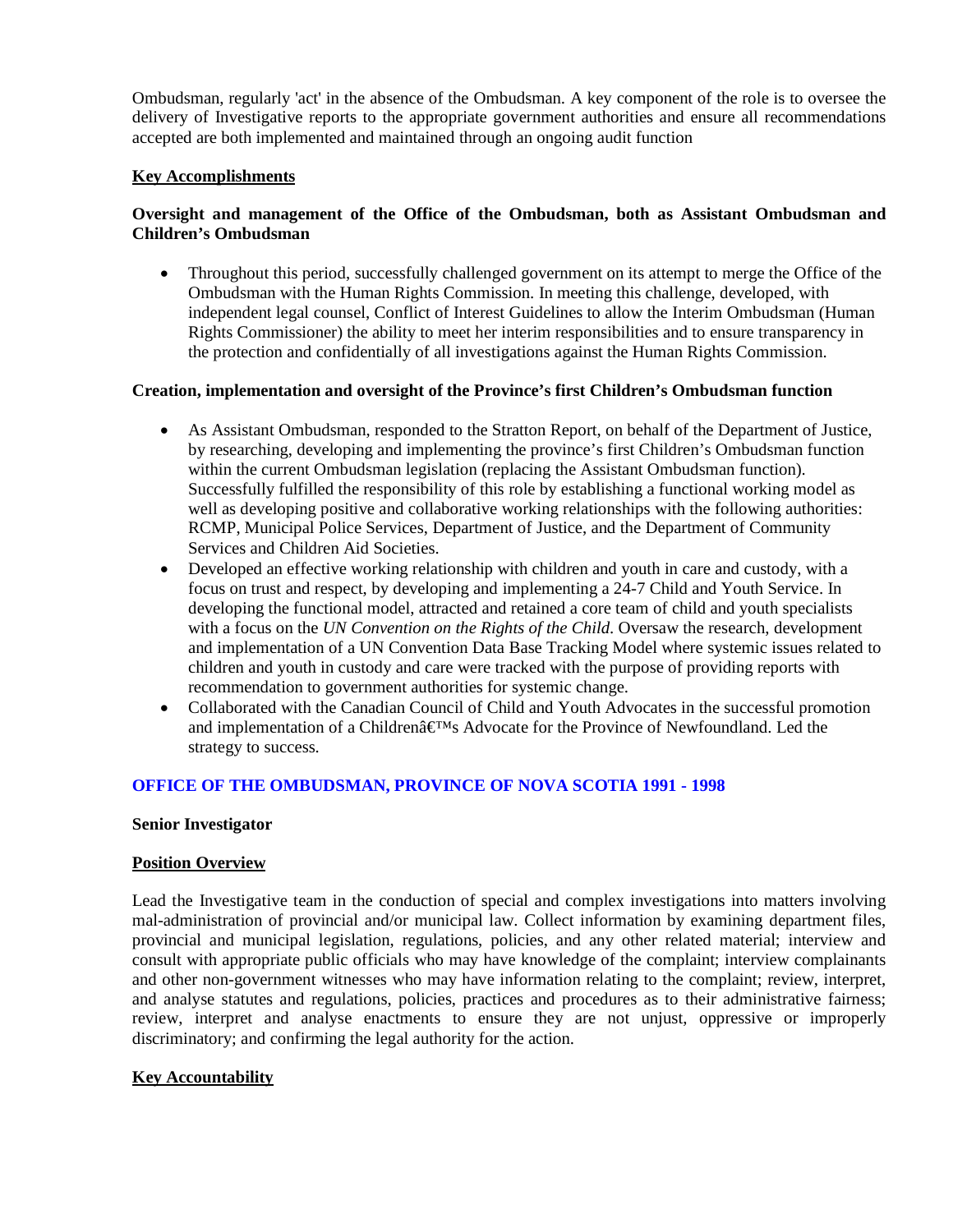Ombudsman, regularly 'act' in the absence of the Ombudsman. A key component of the role is to oversee the delivery of Investigative reports to the appropriate government authorities and ensure all recommendations accepted are both implemented and maintained through an ongoing audit function

# **Key Accomplishments**

# **Oversight and management of the Office of the Ombudsman, both as Assistant Ombudsman and Children's Ombudsman**

• Throughout this period, successfully challenged government on its attempt to merge the Office of the Ombudsman with the Human Rights Commission. In meeting this challenge, developed, with independent legal counsel, Conflict of Interest Guidelines to allow the Interim Ombudsman (Human Rights Commissioner) the ability to meet her interim responsibilities and to ensure transparency in the protection and confidentially of all investigations against the Human Rights Commission.

#### **Creation, implementation and oversight of the Province's first Children's Ombudsman function**

- As Assistant Ombudsman, responded to the Stratton Report, on behalf of the Department of Justice, by researching, developing and implementing the province's first Children's Ombudsman function within the current Ombudsman legislation (replacing the Assistant Ombudsman function). Successfully fulfilled the responsibility of this role by establishing a functional working model as well as developing positive and collaborative working relationships with the following authorities: RCMP, Municipal Police Services, Department of Justice, and the Department of Community Services and Children Aid Societies.
- Developed an effective working relationship with children and youth in care and custody, with a focus on trust and respect, by developing and implementing a 24-7 Child and Youth Service. In developing the functional model, attracted and retained a core team of child and youth specialists with a focus on the *UN Convention on the Rights of the Child*. Oversaw the research, development and implementation of a UN Convention Data Base Tracking Model where systemic issues related to children and youth in custody and care were tracked with the purpose of providing reports with recommendation to government authorities for systemic change.
- Collaborated with the Canadian Council of Child and Youth Advocates in the successful promotion and implementation of a Children $\hat{\mathbf{a}} \in \mathbb{M}$ s Advocate for the Province of Newfoundland. Led the strategy to success.

# **OFFICE OF THE OMBUDSMAN, PROVINCE OF NOVA SCOTIA 1991 - 1998**

#### **Senior Investigator**

#### **Position Overview**

Lead the Investigative team in the conduction of special and complex investigations into matters involving mal-administration of provincial and/or municipal law. Collect information by examining department files, provincial and municipal legislation, regulations, policies, and any other related material; interview and consult with appropriate public officials who may have knowledge of the complaint; interview complainants and other non-government witnesses who may have information relating to the complaint; review, interpret, and analyse statutes and regulations, policies, practices and procedures as to their administrative fairness; review, interpret and analyse enactments to ensure they are not unjust, oppressive or improperly discriminatory; and confirming the legal authority for the action.

# **Key Accountability**